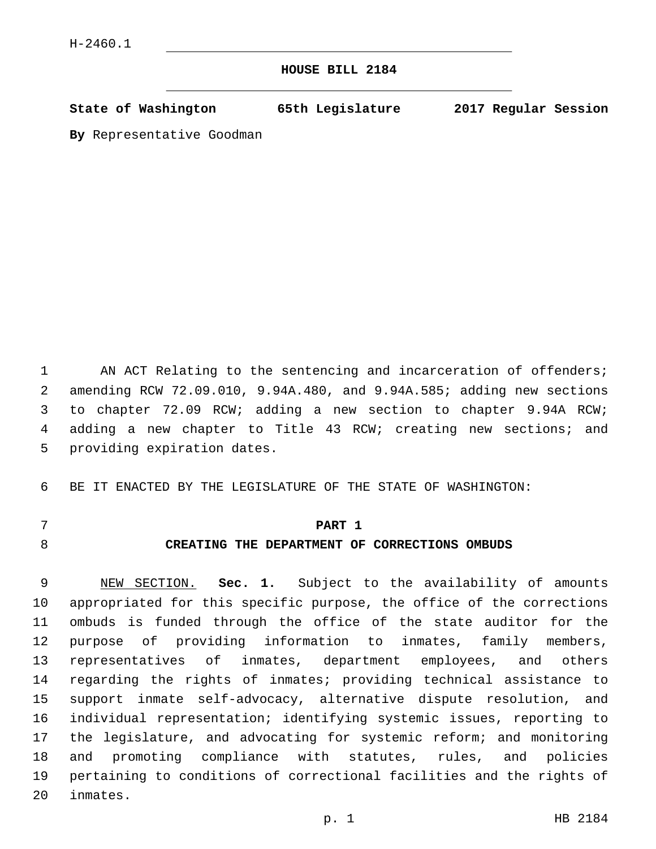## **HOUSE BILL 2184**

**State of Washington 65th Legislature 2017 Regular Session**

**By** Representative Goodman

1 AN ACT Relating to the sentencing and incarceration of offenders; amending RCW 72.09.010, 9.94A.480, and 9.94A.585; adding new sections to chapter 72.09 RCW; adding a new section to chapter 9.94A RCW; adding a new chapter to Title 43 RCW; creating new sections; and 5 providing expiration dates.

BE IT ENACTED BY THE LEGISLATURE OF THE STATE OF WASHINGTON:

## **PART 1**

# **CREATING THE DEPARTMENT OF CORRECTIONS OMBUDS**

 NEW SECTION. **Sec. 1.** Subject to the availability of amounts appropriated for this specific purpose, the office of the corrections ombuds is funded through the office of the state auditor for the purpose of providing information to inmates, family members, representatives of inmates, department employees, and others regarding the rights of inmates; providing technical assistance to support inmate self-advocacy, alternative dispute resolution, and individual representation; identifying systemic issues, reporting to the legislature, and advocating for systemic reform; and monitoring and promoting compliance with statutes, rules, and policies pertaining to conditions of correctional facilities and the rights of inmates.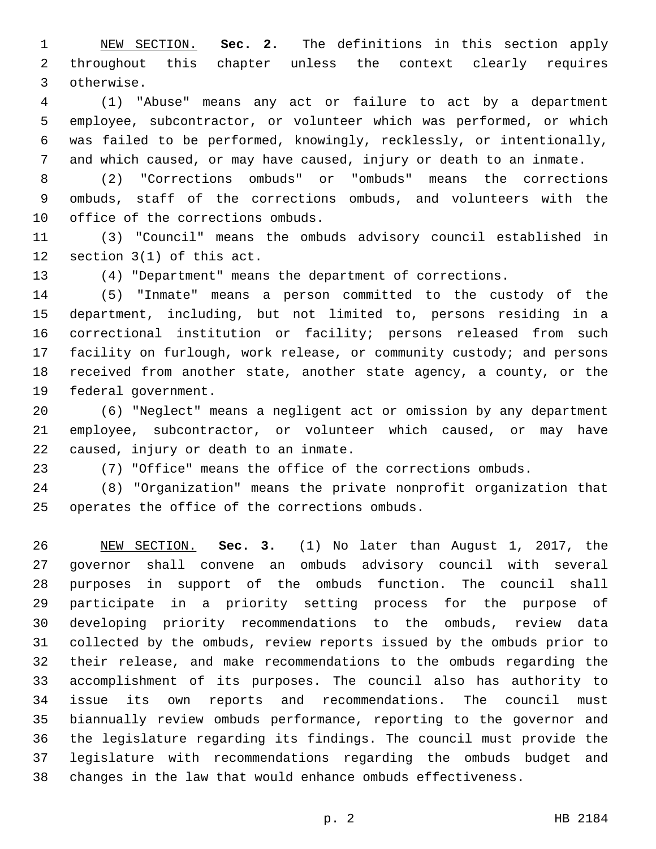NEW SECTION. **Sec. 2.** The definitions in this section apply throughout this chapter unless the context clearly requires otherwise.

 (1) "Abuse" means any act or failure to act by a department employee, subcontractor, or volunteer which was performed, or which was failed to be performed, knowingly, recklessly, or intentionally, and which caused, or may have caused, injury or death to an inmate.

 (2) "Corrections ombuds" or "ombuds" means the corrections ombuds, staff of the corrections ombuds, and volunteers with the 10 office of the corrections ombuds.

 (3) "Council" means the ombuds advisory council established in 12 section  $3(1)$  of this act.

(4) "Department" means the department of corrections.

 (5) "Inmate" means a person committed to the custody of the department, including, but not limited to, persons residing in a correctional institution or facility; persons released from such facility on furlough, work release, or community custody; and persons received from another state, another state agency, a county, or the 19 federal government.

 (6) "Neglect" means a negligent act or omission by any department employee, subcontractor, or volunteer which caused, or may have 22 caused, injury or death to an inmate.

(7) "Office" means the office of the corrections ombuds.

 (8) "Organization" means the private nonprofit organization that 25 operates the office of the corrections ombuds.

 NEW SECTION. **Sec. 3.** (1) No later than August 1, 2017, the governor shall convene an ombuds advisory council with several purposes in support of the ombuds function. The council shall participate in a priority setting process for the purpose of developing priority recommendations to the ombuds, review data collected by the ombuds, review reports issued by the ombuds prior to their release, and make recommendations to the ombuds regarding the accomplishment of its purposes. The council also has authority to issue its own reports and recommendations. The council must biannually review ombuds performance, reporting to the governor and the legislature regarding its findings. The council must provide the legislature with recommendations regarding the ombuds budget and changes in the law that would enhance ombuds effectiveness.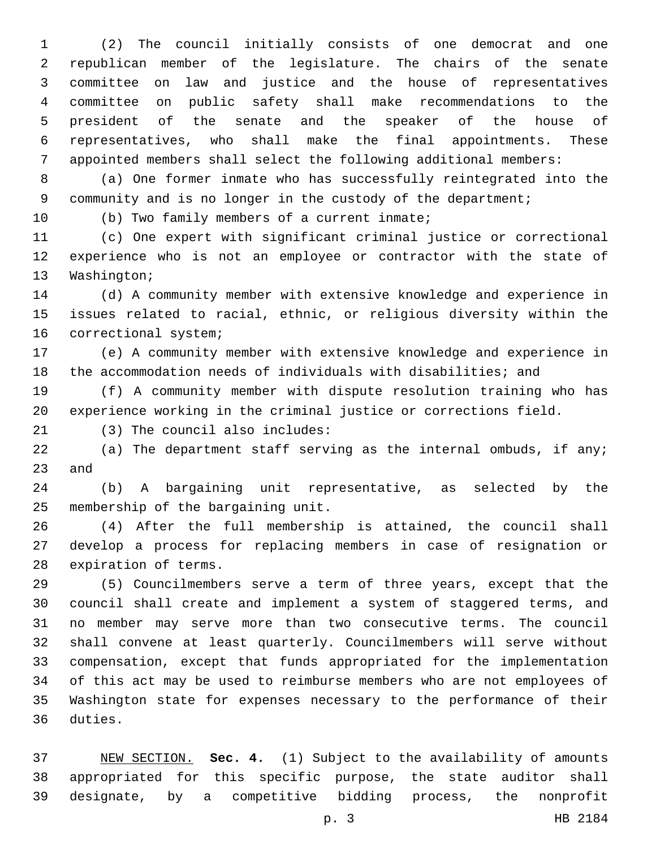(2) The council initially consists of one democrat and one republican member of the legislature. The chairs of the senate committee on law and justice and the house of representatives committee on public safety shall make recommendations to the president of the senate and the speaker of the house of representatives, who shall make the final appointments. These appointed members shall select the following additional members:

 (a) One former inmate who has successfully reintegrated into the 9 community and is no longer in the custody of the department;

10 (b) Two family members of a current inmate;

 (c) One expert with significant criminal justice or correctional experience who is not an employee or contractor with the state of 13 Washington;

 (d) A community member with extensive knowledge and experience in issues related to racial, ethnic, or religious diversity within the 16 correctional system;

 (e) A community member with extensive knowledge and experience in the accommodation needs of individuals with disabilities; and

 (f) A community member with dispute resolution training who has experience working in the criminal justice or corrections field.

(3) The council also includes:21

 (a) The department staff serving as the internal ombuds, if any; 23 and

 (b) A bargaining unit representative, as selected by the 25 membership of the bargaining unit.

 (4) After the full membership is attained, the council shall develop a process for replacing members in case of resignation or 28 expiration of terms.

 (5) Councilmembers serve a term of three years, except that the council shall create and implement a system of staggered terms, and no member may serve more than two consecutive terms. The council shall convene at least quarterly. Councilmembers will serve without compensation, except that funds appropriated for the implementation of this act may be used to reimburse members who are not employees of Washington state for expenses necessary to the performance of their 36 duties.

 NEW SECTION. **Sec. 4.** (1) Subject to the availability of amounts appropriated for this specific purpose, the state auditor shall designate, by a competitive bidding process, the nonprofit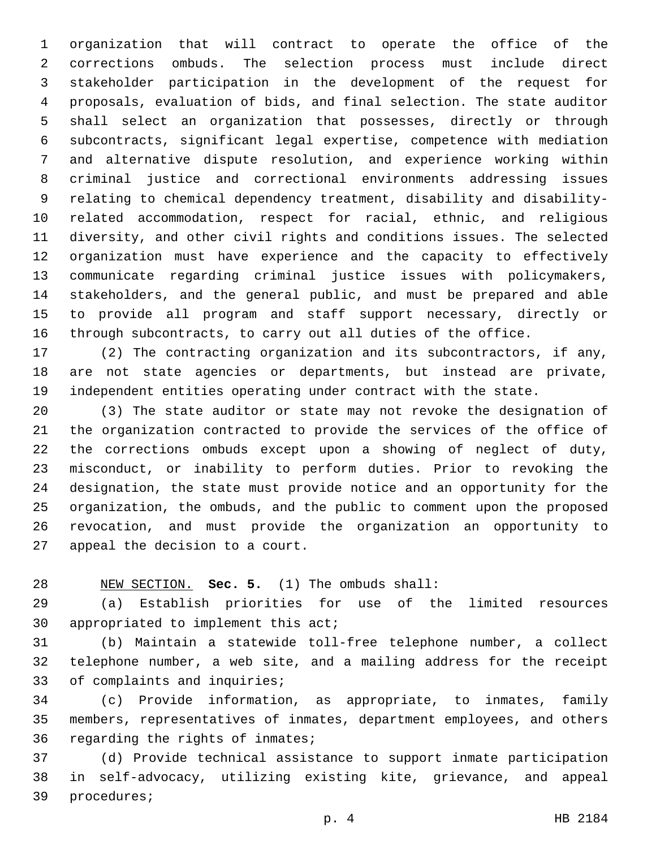organization that will contract to operate the office of the corrections ombuds. The selection process must include direct stakeholder participation in the development of the request for proposals, evaluation of bids, and final selection. The state auditor shall select an organization that possesses, directly or through subcontracts, significant legal expertise, competence with mediation and alternative dispute resolution, and experience working within criminal justice and correctional environments addressing issues relating to chemical dependency treatment, disability and disability- related accommodation, respect for racial, ethnic, and religious diversity, and other civil rights and conditions issues. The selected organization must have experience and the capacity to effectively communicate regarding criminal justice issues with policymakers, stakeholders, and the general public, and must be prepared and able to provide all program and staff support necessary, directly or through subcontracts, to carry out all duties of the office.

 (2) The contracting organization and its subcontractors, if any, are not state agencies or departments, but instead are private, independent entities operating under contract with the state.

 (3) The state auditor or state may not revoke the designation of the organization contracted to provide the services of the office of the corrections ombuds except upon a showing of neglect of duty, misconduct, or inability to perform duties. Prior to revoking the designation, the state must provide notice and an opportunity for the organization, the ombuds, and the public to comment upon the proposed revocation, and must provide the organization an opportunity to 27 appeal the decision to a court.

NEW SECTION. **Sec. 5.** (1) The ombuds shall:

 (a) Establish priorities for use of the limited resources 30 appropriated to implement this act;

 (b) Maintain a statewide toll-free telephone number, a collect telephone number, a web site, and a mailing address for the receipt 33 of complaints and inquiries;

 (c) Provide information, as appropriate, to inmates, family members, representatives of inmates, department employees, and others 36 regarding the rights of inmates;

 (d) Provide technical assistance to support inmate participation in self-advocacy, utilizing existing kite, grievance, and appeal 39 procedures;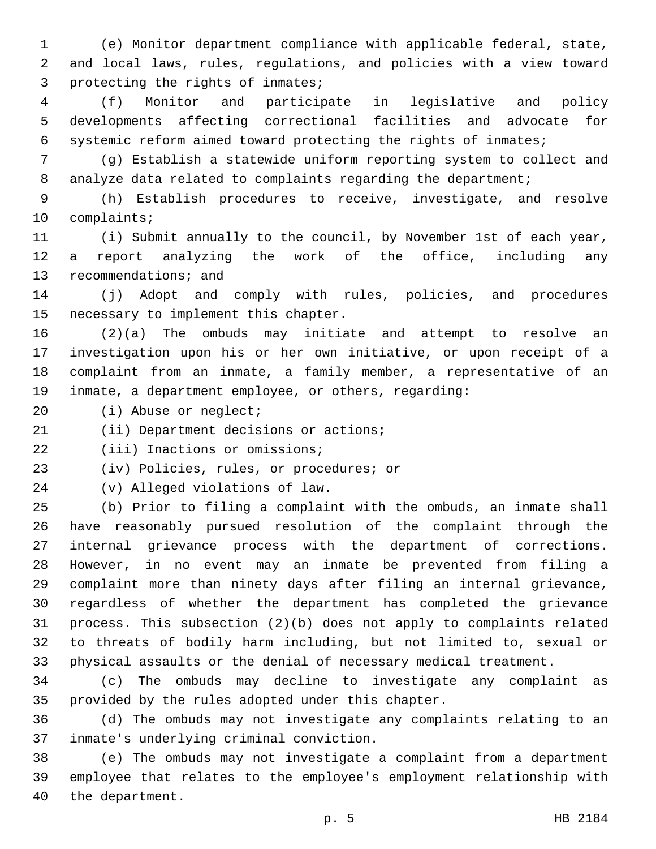(e) Monitor department compliance with applicable federal, state, and local laws, rules, regulations, and policies with a view toward 3 protecting the rights of inmates;

 (f) Monitor and participate in legislative and policy developments affecting correctional facilities and advocate for systemic reform aimed toward protecting the rights of inmates;

 (g) Establish a statewide uniform reporting system to collect and 8 analyze data related to complaints regarding the department;

 (h) Establish procedures to receive, investigate, and resolve 10 complaints;

 (i) Submit annually to the council, by November 1st of each year, a report analyzing the work of the office, including any 13 recommendations; and

 (j) Adopt and comply with rules, policies, and procedures 15 necessary to implement this chapter.

 (2)(a) The ombuds may initiate and attempt to resolve an investigation upon his or her own initiative, or upon receipt of a complaint from an inmate, a family member, a representative of an inmate, a department employee, or others, regarding:

20 (i) Abuse or neglect;

21 (ii) Department decisions or actions;

22 (iii) Inactions or omissions;

23 (iv) Policies, rules, or procedures; or

(v) Alleged violations of law.24

 (b) Prior to filing a complaint with the ombuds, an inmate shall have reasonably pursued resolution of the complaint through the internal grievance process with the department of corrections. However, in no event may an inmate be prevented from filing a complaint more than ninety days after filing an internal grievance, regardless of whether the department has completed the grievance process. This subsection (2)(b) does not apply to complaints related to threats of bodily harm including, but not limited to, sexual or physical assaults or the denial of necessary medical treatment.

 (c) The ombuds may decline to investigate any complaint as 35 provided by the rules adopted under this chapter.

 (d) The ombuds may not investigate any complaints relating to an inmate's underlying criminal conviction.37

 (e) The ombuds may not investigate a complaint from a department employee that relates to the employee's employment relationship with 40 the department.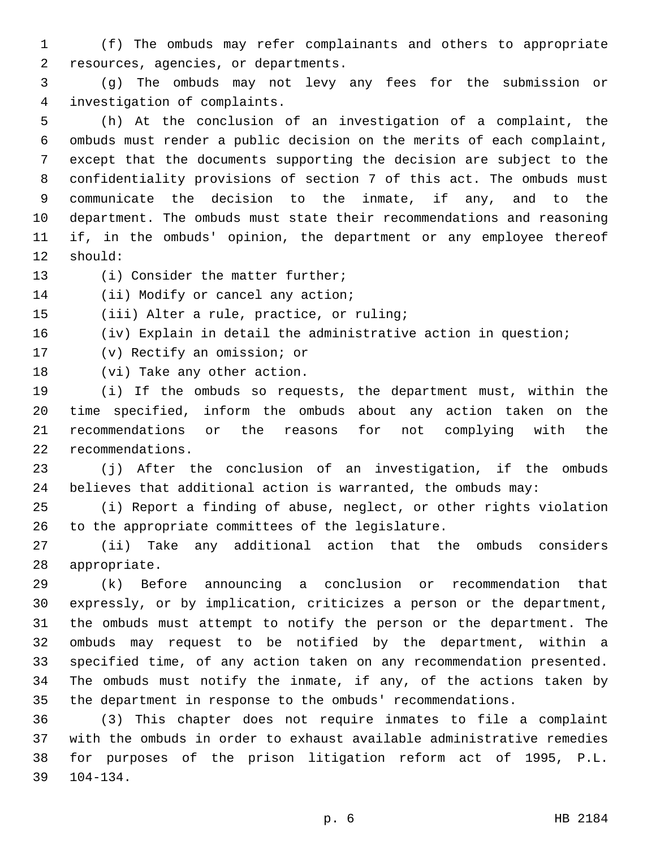(f) The ombuds may refer complainants and others to appropriate resources, agencies, or departments.2

 (g) The ombuds may not levy any fees for the submission or investigation of complaints.4

 (h) At the conclusion of an investigation of a complaint, the ombuds must render a public decision on the merits of each complaint, except that the documents supporting the decision are subject to the confidentiality provisions of section 7 of this act. The ombuds must communicate the decision to the inmate, if any, and to the department. The ombuds must state their recommendations and reasoning if, in the ombuds' opinion, the department or any employee thereof 12 should:

13 (i) Consider the matter further;

14 (ii) Modify or cancel any action;

15 (iii) Alter a rule, practice, or ruling;

16 (iv) Explain in detail the administrative action in question;

- 17 (v) Rectify an omission; or
- 18 (vi) Take any other action.

 (i) If the ombuds so requests, the department must, within the time specified, inform the ombuds about any action taken on the recommendations or the reasons for not complying with the recommendations.22

 (j) After the conclusion of an investigation, if the ombuds believes that additional action is warranted, the ombuds may:

 (i) Report a finding of abuse, neglect, or other rights violation 26 to the appropriate committees of the legislature.

 (ii) Take any additional action that the ombuds considers 28 appropriate.

 (k) Before announcing a conclusion or recommendation that expressly, or by implication, criticizes a person or the department, the ombuds must attempt to notify the person or the department. The ombuds may request to be notified by the department, within a specified time, of any action taken on any recommendation presented. The ombuds must notify the inmate, if any, of the actions taken by the department in response to the ombuds' recommendations.

 (3) This chapter does not require inmates to file a complaint with the ombuds in order to exhaust available administrative remedies for purposes of the prison litigation reform act of 1995, P.L. 104-134.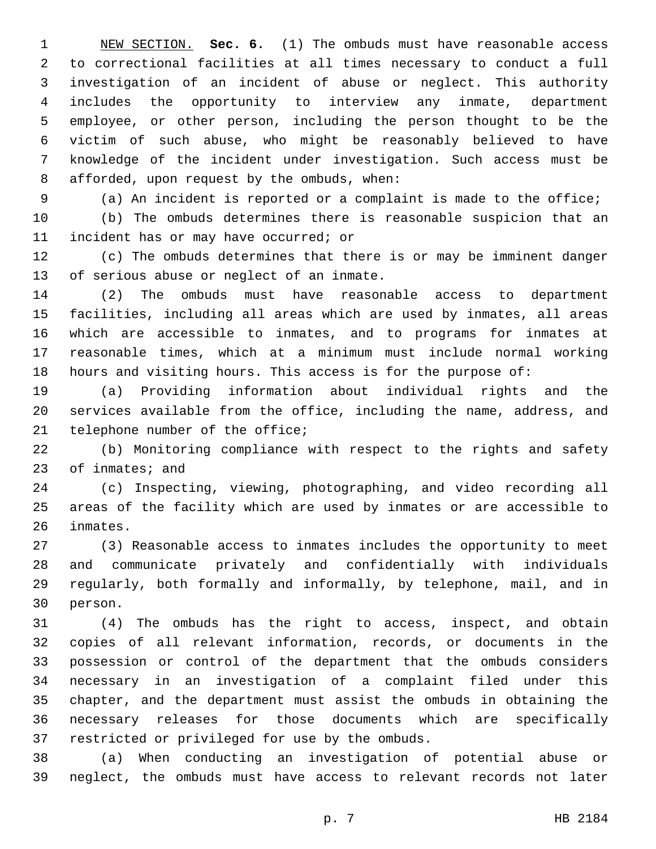NEW SECTION. **Sec. 6.** (1) The ombuds must have reasonable access to correctional facilities at all times necessary to conduct a full investigation of an incident of abuse or neglect. This authority includes the opportunity to interview any inmate, department employee, or other person, including the person thought to be the victim of such abuse, who might be reasonably believed to have knowledge of the incident under investigation. Such access must be afforded, upon request by the ombuds, when:

 (a) An incident is reported or a complaint is made to the office; (b) The ombuds determines there is reasonable suspicion that an 11 incident has or may have occurred; or

 (c) The ombuds determines that there is or may be imminent danger 13 of serious abuse or neglect of an inmate.

 (2) The ombuds must have reasonable access to department facilities, including all areas which are used by inmates, all areas which are accessible to inmates, and to programs for inmates at reasonable times, which at a minimum must include normal working hours and visiting hours. This access is for the purpose of:

 (a) Providing information about individual rights and the services available from the office, including the name, address, and 21 telephone number of the office;

 (b) Monitoring compliance with respect to the rights and safety 23 of inmates; and

 (c) Inspecting, viewing, photographing, and video recording all areas of the facility which are used by inmates or are accessible to 26 inmates.

 (3) Reasonable access to inmates includes the opportunity to meet and communicate privately and confidentially with individuals regularly, both formally and informally, by telephone, mail, and in 30 person.

 (4) The ombuds has the right to access, inspect, and obtain copies of all relevant information, records, or documents in the possession or control of the department that the ombuds considers necessary in an investigation of a complaint filed under this chapter, and the department must assist the ombuds in obtaining the necessary releases for those documents which are specifically 37 restricted or privileged for use by the ombuds.

 (a) When conducting an investigation of potential abuse or neglect, the ombuds must have access to relevant records not later

p. 7 HB 2184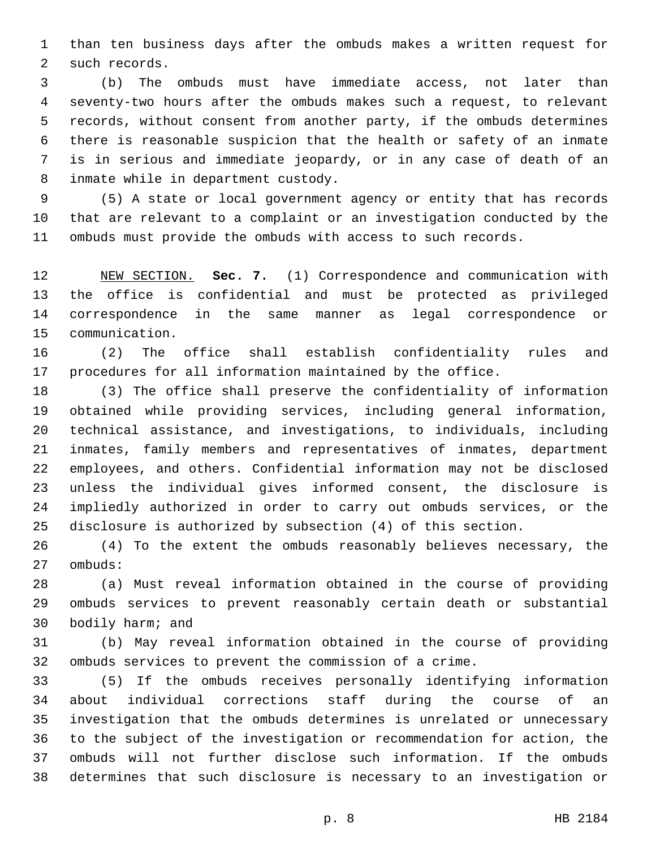than ten business days after the ombuds makes a written request for 2 such records.

 (b) The ombuds must have immediate access, not later than seventy-two hours after the ombuds makes such a request, to relevant records, without consent from another party, if the ombuds determines there is reasonable suspicion that the health or safety of an inmate is in serious and immediate jeopardy, or in any case of death of an 8 inmate while in department custody.

 (5) A state or local government agency or entity that has records that are relevant to a complaint or an investigation conducted by the ombuds must provide the ombuds with access to such records.

 NEW SECTION. **Sec. 7.** (1) Correspondence and communication with the office is confidential and must be protected as privileged correspondence in the same manner as legal correspondence or communication.

 (2) The office shall establish confidentiality rules and procedures for all information maintained by the office.

 (3) The office shall preserve the confidentiality of information obtained while providing services, including general information, technical assistance, and investigations, to individuals, including inmates, family members and representatives of inmates, department employees, and others. Confidential information may not be disclosed unless the individual gives informed consent, the disclosure is impliedly authorized in order to carry out ombuds services, or the disclosure is authorized by subsection (4) of this section.

 (4) To the extent the ombuds reasonably believes necessary, the 27 ombuds:

 (a) Must reveal information obtained in the course of providing ombuds services to prevent reasonably certain death or substantial 30 bodily harm; and

 (b) May reveal information obtained in the course of providing ombuds services to prevent the commission of a crime.

 (5) If the ombuds receives personally identifying information about individual corrections staff during the course of an investigation that the ombuds determines is unrelated or unnecessary to the subject of the investigation or recommendation for action, the ombuds will not further disclose such information. If the ombuds determines that such disclosure is necessary to an investigation or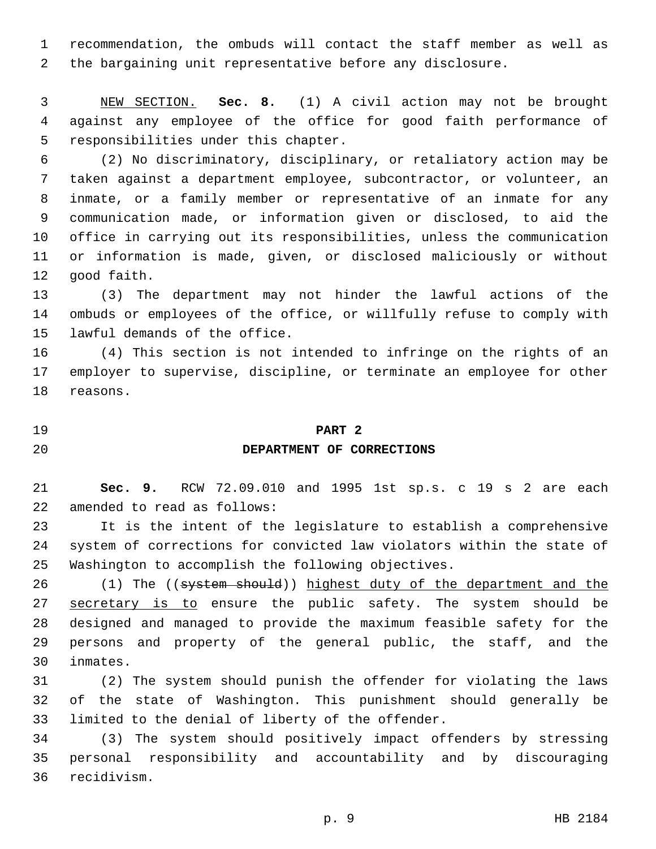recommendation, the ombuds will contact the staff member as well as the bargaining unit representative before any disclosure.

 NEW SECTION. **Sec. 8.** (1) A civil action may not be brought against any employee of the office for good faith performance of responsibilities under this chapter.

 (2) No discriminatory, disciplinary, or retaliatory action may be taken against a department employee, subcontractor, or volunteer, an inmate, or a family member or representative of an inmate for any communication made, or information given or disclosed, to aid the office in carrying out its responsibilities, unless the communication or information is made, given, or disclosed maliciously or without 12 good faith.

 (3) The department may not hinder the lawful actions of the ombuds or employees of the office, or willfully refuse to comply with 15 lawful demands of the office.

 (4) This section is not intended to infringe on the rights of an employer to supervise, discipline, or terminate an employee for other 18 reasons.

#### **PART 2**

#### **DEPARTMENT OF CORRECTIONS**

 **Sec. 9.** RCW 72.09.010 and 1995 1st sp.s. c 19 s 2 are each 22 amended to read as follows:

 It is the intent of the legislature to establish a comprehensive system of corrections for convicted law violators within the state of Washington to accomplish the following objectives.

26 (1) The ((system should)) highest duty of the department and the 27 secretary is to ensure the public safety. The system should be designed and managed to provide the maximum feasible safety for the persons and property of the general public, the staff, and the inmates.30

 (2) The system should punish the offender for violating the laws of the state of Washington. This punishment should generally be 33 limited to the denial of liberty of the offender.

 (3) The system should positively impact offenders by stressing personal responsibility and accountability and by discouraging 36 recidivism.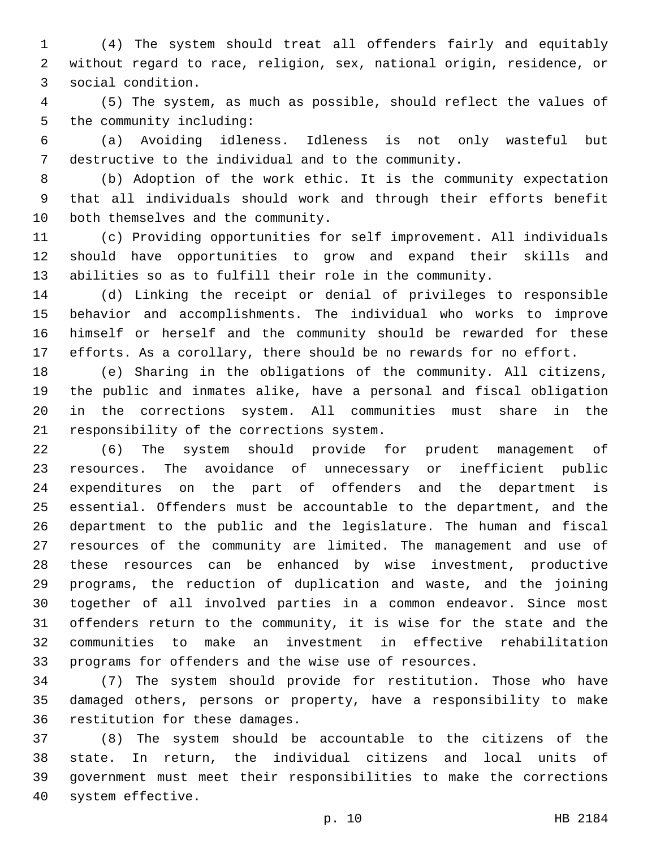(4) The system should treat all offenders fairly and equitably without regard to race, religion, sex, national origin, residence, or social condition.3

 (5) The system, as much as possible, should reflect the values of 5 the community including:

 (a) Avoiding idleness. Idleness is not only wasteful but destructive to the individual and to the community.

 (b) Adoption of the work ethic. It is the community expectation that all individuals should work and through their efforts benefit 10 both themselves and the community.

 (c) Providing opportunities for self improvement. All individuals should have opportunities to grow and expand their skills and abilities so as to fulfill their role in the community.

 (d) Linking the receipt or denial of privileges to responsible behavior and accomplishments. The individual who works to improve himself or herself and the community should be rewarded for these efforts. As a corollary, there should be no rewards for no effort.

 (e) Sharing in the obligations of the community. All citizens, the public and inmates alike, have a personal and fiscal obligation in the corrections system. All communities must share in the 21 responsibility of the corrections system.

 (6) The system should provide for prudent management of resources. The avoidance of unnecessary or inefficient public expenditures on the part of offenders and the department is essential. Offenders must be accountable to the department, and the department to the public and the legislature. The human and fiscal resources of the community are limited. The management and use of these resources can be enhanced by wise investment, productive programs, the reduction of duplication and waste, and the joining together of all involved parties in a common endeavor. Since most offenders return to the community, it is wise for the state and the communities to make an investment in effective rehabilitation programs for offenders and the wise use of resources.

 (7) The system should provide for restitution. Those who have damaged others, persons or property, have a responsibility to make 36 restitution for these damages.

 (8) The system should be accountable to the citizens of the state. In return, the individual citizens and local units of government must meet their responsibilities to make the corrections 40 system effective.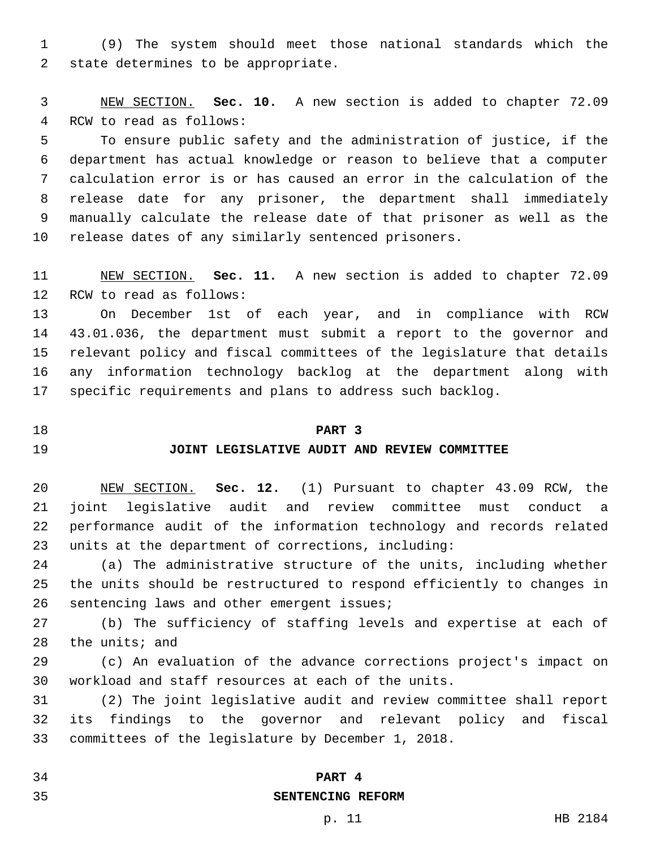(9) The system should meet those national standards which the 2 state determines to be appropriate.

 NEW SECTION. **Sec. 10.** A new section is added to chapter 72.09 4 RCW to read as follows:

 To ensure public safety and the administration of justice, if the department has actual knowledge or reason to believe that a computer calculation error is or has caused an error in the calculation of the release date for any prisoner, the department shall immediately manually calculate the release date of that prisoner as well as the release dates of any similarly sentenced prisoners.

 NEW SECTION. **Sec. 11.** A new section is added to chapter 72.09 12 RCW to read as follows:

 On December 1st of each year, and in compliance with RCW 43.01.036, the department must submit a report to the governor and relevant policy and fiscal committees of the legislature that details any information technology backlog at the department along with specific requirements and plans to address such backlog.

#### **PART 3**

### **JOINT LEGISLATIVE AUDIT AND REVIEW COMMITTEE**

 NEW SECTION. **Sec. 12.** (1) Pursuant to chapter 43.09 RCW, the joint legislative audit and review committee must conduct a performance audit of the information technology and records related units at the department of corrections, including:

 (a) The administrative structure of the units, including whether the units should be restructured to respond efficiently to changes in 26 sentencing laws and other emergent issues;

 (b) The sufficiency of staffing levels and expertise at each of the units; and

 (c) An evaluation of the advance corrections project's impact on workload and staff resources at each of the units.

 (2) The joint legislative audit and review committee shall report its findings to the governor and relevant policy and fiscal committees of the legislature by December 1, 2018.

## **PART 4**

## **SENTENCING REFORM**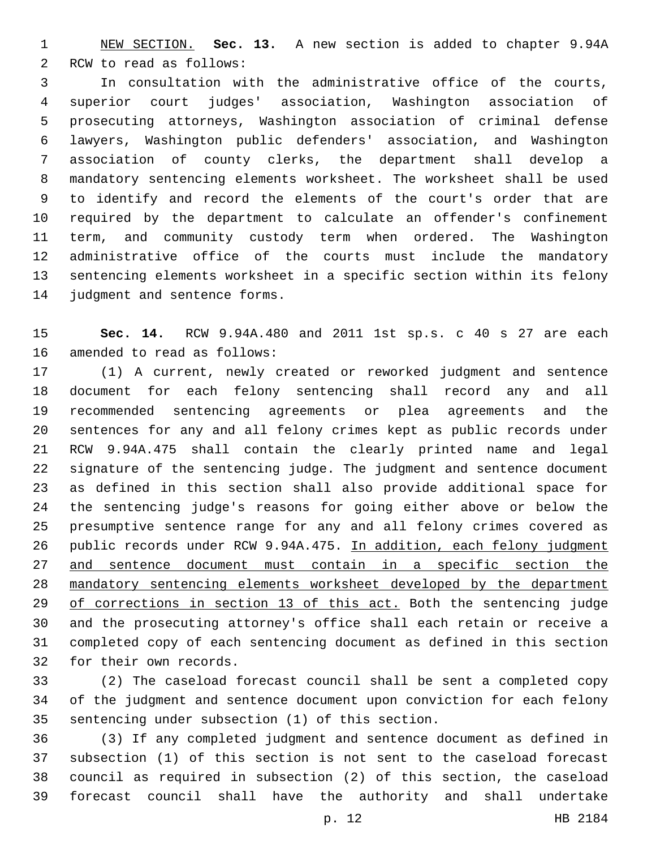NEW SECTION. **Sec. 13.** A new section is added to chapter 9.94A 2 RCW to read as follows:

 In consultation with the administrative office of the courts, superior court judges' association, Washington association of prosecuting attorneys, Washington association of criminal defense lawyers, Washington public defenders' association, and Washington association of county clerks, the department shall develop a mandatory sentencing elements worksheet. The worksheet shall be used to identify and record the elements of the court's order that are required by the department to calculate an offender's confinement term, and community custody term when ordered. The Washington administrative office of the courts must include the mandatory sentencing elements worksheet in a specific section within its felony 14 judgment and sentence forms.

 **Sec. 14.** RCW 9.94A.480 and 2011 1st sp.s. c 40 s 27 are each 16 amended to read as follows:

 (1) A current, newly created or reworked judgment and sentence document for each felony sentencing shall record any and all recommended sentencing agreements or plea agreements and the sentences for any and all felony crimes kept as public records under RCW 9.94A.475 shall contain the clearly printed name and legal signature of the sentencing judge. The judgment and sentence document as defined in this section shall also provide additional space for the sentencing judge's reasons for going either above or below the presumptive sentence range for any and all felony crimes covered as public records under RCW 9.94A.475. In addition, each felony judgment and sentence document must contain in a specific section the mandatory sentencing elements worksheet developed by the department 29 of corrections in section 13 of this act. Both the sentencing judge and the prosecuting attorney's office shall each retain or receive a completed copy of each sentencing document as defined in this section 32 for their own records.

 (2) The caseload forecast council shall be sent a completed copy of the judgment and sentence document upon conviction for each felony 35 sentencing under subsection (1) of this section.

 (3) If any completed judgment and sentence document as defined in subsection (1) of this section is not sent to the caseload forecast council as required in subsection (2) of this section, the caseload forecast council shall have the authority and shall undertake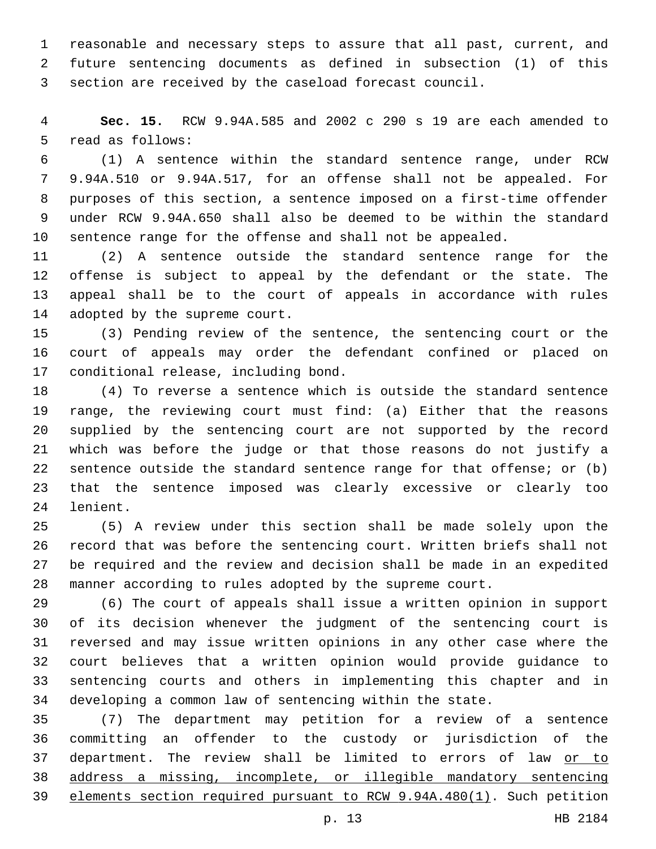reasonable and necessary steps to assure that all past, current, and future sentencing documents as defined in subsection (1) of this section are received by the caseload forecast council.

 **Sec. 15.** RCW 9.94A.585 and 2002 c 290 s 19 are each amended to 5 read as follows:

 (1) A sentence within the standard sentence range, under RCW 9.94A.510 or 9.94A.517, for an offense shall not be appealed. For purposes of this section, a sentence imposed on a first-time offender under RCW 9.94A.650 shall also be deemed to be within the standard sentence range for the offense and shall not be appealed.

 (2) A sentence outside the standard sentence range for the offense is subject to appeal by the defendant or the state. The appeal shall be to the court of appeals in accordance with rules 14 adopted by the supreme court.

 (3) Pending review of the sentence, the sentencing court or the court of appeals may order the defendant confined or placed on 17 conditional release, including bond.

 (4) To reverse a sentence which is outside the standard sentence range, the reviewing court must find: (a) Either that the reasons supplied by the sentencing court are not supported by the record which was before the judge or that those reasons do not justify a sentence outside the standard sentence range for that offense; or (b) that the sentence imposed was clearly excessive or clearly too 24 lenient.

 (5) A review under this section shall be made solely upon the record that was before the sentencing court. Written briefs shall not be required and the review and decision shall be made in an expedited manner according to rules adopted by the supreme court.

 (6) The court of appeals shall issue a written opinion in support of its decision whenever the judgment of the sentencing court is reversed and may issue written opinions in any other case where the court believes that a written opinion would provide guidance to sentencing courts and others in implementing this chapter and in developing a common law of sentencing within the state.

 (7) The department may petition for a review of a sentence committing an offender to the custody or jurisdiction of the 37 department. The review shall be limited to errors of law or to address a missing, incomplete, or illegible mandatory sentencing elements section required pursuant to RCW 9.94A.480(1). Such petition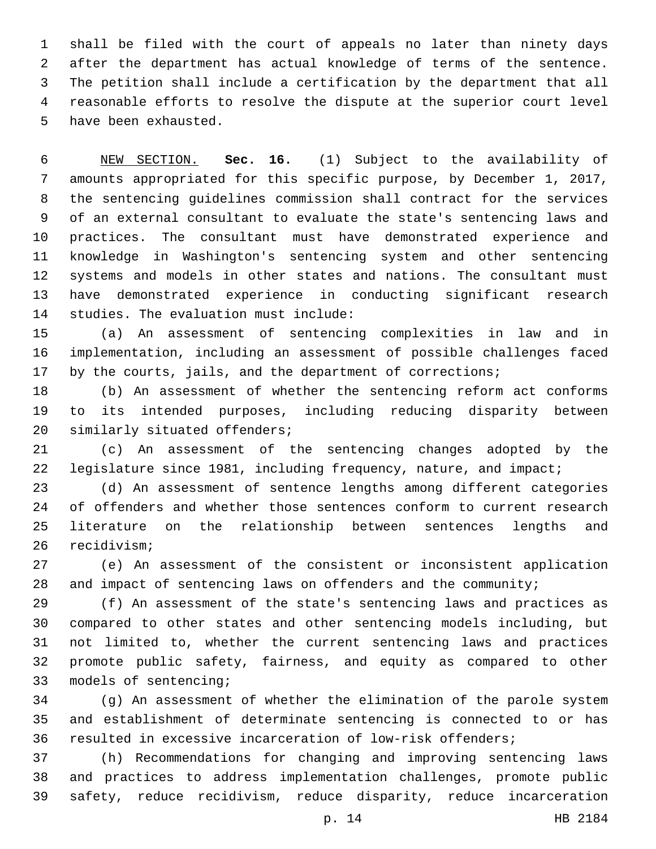shall be filed with the court of appeals no later than ninety days after the department has actual knowledge of terms of the sentence. The petition shall include a certification by the department that all reasonable efforts to resolve the dispute at the superior court level 5 have been exhausted.

 NEW SECTION. **Sec. 16.** (1) Subject to the availability of amounts appropriated for this specific purpose, by December 1, 2017, the sentencing guidelines commission shall contract for the services of an external consultant to evaluate the state's sentencing laws and practices. The consultant must have demonstrated experience and knowledge in Washington's sentencing system and other sentencing systems and models in other states and nations. The consultant must have demonstrated experience in conducting significant research studies. The evaluation must include:

 (a) An assessment of sentencing complexities in law and in implementation, including an assessment of possible challenges faced by the courts, jails, and the department of corrections;

 (b) An assessment of whether the sentencing reform act conforms to its intended purposes, including reducing disparity between 20 similarly situated offenders;

 (c) An assessment of the sentencing changes adopted by the 22 legislature since 1981, including frequency, nature, and impact;

 (d) An assessment of sentence lengths among different categories of offenders and whether those sentences conform to current research literature on the relationship between sentences lengths and 26 recidivism;

 (e) An assessment of the consistent or inconsistent application and impact of sentencing laws on offenders and the community;

 (f) An assessment of the state's sentencing laws and practices as compared to other states and other sentencing models including, but not limited to, whether the current sentencing laws and practices promote public safety, fairness, and equity as compared to other 33 models of sentencing;

 (g) An assessment of whether the elimination of the parole system and establishment of determinate sentencing is connected to or has resulted in excessive incarceration of low-risk offenders;

 (h) Recommendations for changing and improving sentencing laws and practices to address implementation challenges, promote public safety, reduce recidivism, reduce disparity, reduce incarceration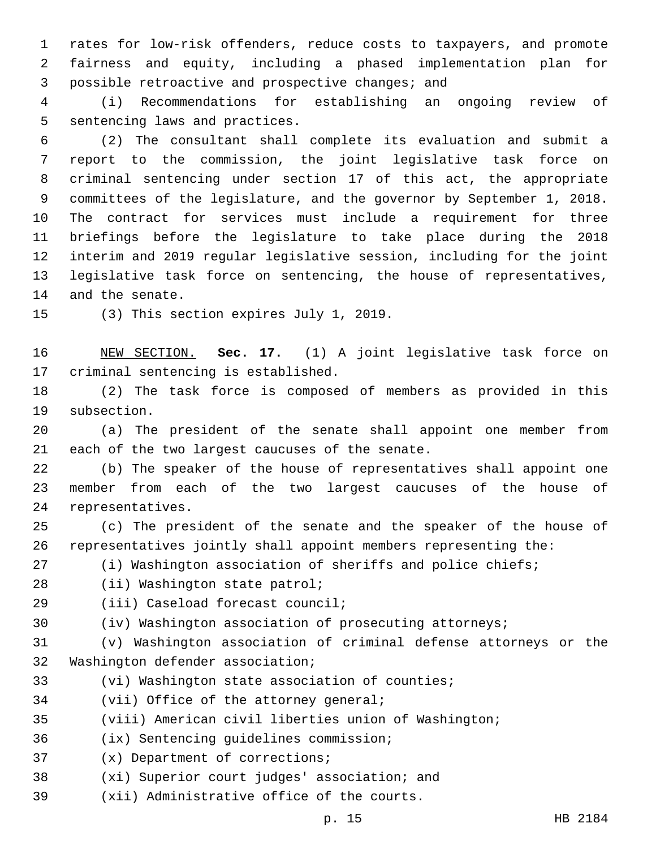1 rates for low-risk offenders, reduce costs to taxpayers, and promote 2 fairness and equity, including a phased implementation plan for 3 possible retroactive and prospective changes; and

4 (i) Recommendations for establishing an ongoing review of 5 sentencing laws and practices.

 (2) The consultant shall complete its evaluation and submit a report to the commission, the joint legislative task force on criminal sentencing under section 17 of this act, the appropriate committees of the legislature, and the governor by September 1, 2018. The contract for services must include a requirement for three briefings before the legislature to take place during the 2018 interim and 2019 regular legislative session, including for the joint legislative task force on sentencing, the house of representatives, 14 and the senate.

15 (3) This section expires July 1, 2019.

16 NEW SECTION. **Sec. 17.** (1) A joint legislative task force on 17 criminal sentencing is established.

18 (2) The task force is composed of members as provided in this 19 subsection.

20 (a) The president of the senate shall appoint one member from 21 each of the two largest caucuses of the senate.

22 (b) The speaker of the house of representatives shall appoint one 23 member from each of the two largest caucuses of the house of 24 representatives.

25 (c) The president of the senate and the speaker of the house of 26 representatives jointly shall appoint members representing the:

27 (i) Washington association of sheriffs and police chiefs;

28 (ii) Washington state patrol;

29 (iii) Caseload forecast council;

30 (iv) Washington association of prosecuting attorneys;

31 (v) Washington association of criminal defense attorneys or the 32 Washington defender association;

33 (vi) Washington state association of counties;

34 (vii) Office of the attorney general;

35 (viii) American civil liberties union of Washington;

(ix) Sentencing guidelines commission;36

37 (x) Department of corrections;

38 (xi) Superior court judges' association; and

39 (xii) Administrative office of the courts.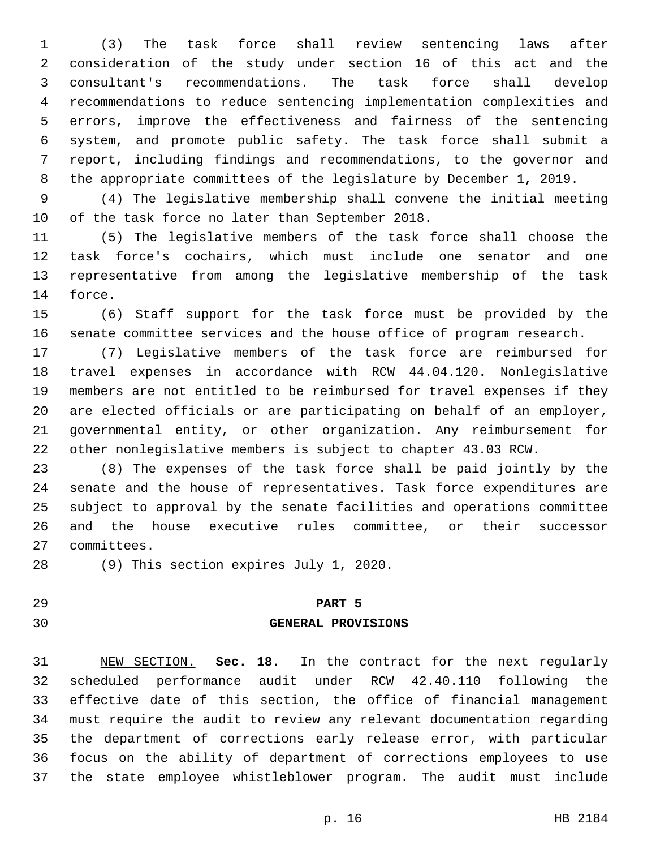(3) The task force shall review sentencing laws after consideration of the study under section 16 of this act and the consultant's recommendations. The task force shall develop recommendations to reduce sentencing implementation complexities and errors, improve the effectiveness and fairness of the sentencing system, and promote public safety. The task force shall submit a report, including findings and recommendations, to the governor and the appropriate committees of the legislature by December 1, 2019.

 (4) The legislative membership shall convene the initial meeting 10 of the task force no later than September 2018.

 (5) The legislative members of the task force shall choose the task force's cochairs, which must include one senator and one representative from among the legislative membership of the task 14 force.

 (6) Staff support for the task force must be provided by the senate committee services and the house office of program research.

 (7) Legislative members of the task force are reimbursed for travel expenses in accordance with RCW 44.04.120. Nonlegislative members are not entitled to be reimbursed for travel expenses if they are elected officials or are participating on behalf of an employer, governmental entity, or other organization. Any reimbursement for other nonlegislative members is subject to chapter 43.03 RCW.

 (8) The expenses of the task force shall be paid jointly by the senate and the house of representatives. Task force expenditures are subject to approval by the senate facilities and operations committee and the house executive rules committee, or their successor 27 committees.

28 (9) This section expires July 1, 2020.

#### **PART 5**

#### **GENERAL PROVISIONS**

 NEW SECTION. **Sec. 18.** In the contract for the next regularly scheduled performance audit under RCW 42.40.110 following the effective date of this section, the office of financial management must require the audit to review any relevant documentation regarding the department of corrections early release error, with particular focus on the ability of department of corrections employees to use the state employee whistleblower program. The audit must include